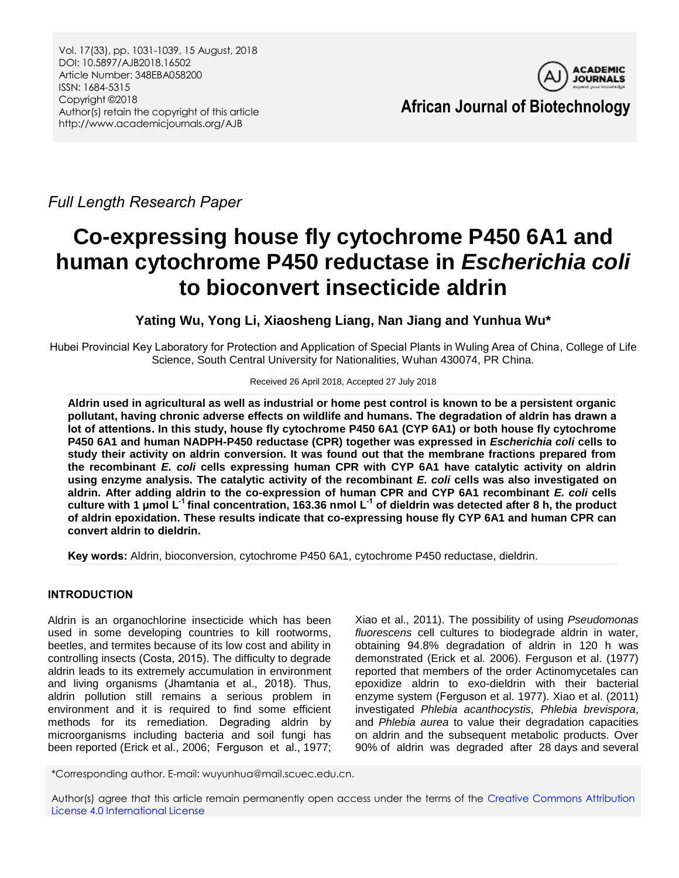Vol. 17(33), pp. 1031-1039, 15 August, 2018 DOI: 10.5897/AJB2018.16502 Article Number: 348EBA058200 ISSN: 1684-5315 Copyright ©2018 Author(s) retain the copyright of this article http://www.academicjournals.org/AJB



**African Journal of Biotechnology**

*Full Length Research Paper*

# **Co-expressing house fly cytochrome P450 6A1 and human cytochrome P450 reductase in** *Escherichia coli*  **to bioconvert insecticide aldrin**

**Yating Wu, Yong Li, Xiaosheng Liang, Nan Jiang and Yunhua Wu\***

Hubei Provincial Key Laboratory for Protection and Application of Special Plants in Wuling Area of China, College of Life Science, South Central University for Nationalities, Wuhan 430074, PR China.

## Received 26 April 2018, Accepted 27 July 2018

**Aldrin used in agricultural as well as industrial or home pest control is known to be a persistent organic pollutant, having chronic adverse effects on wildlife and humans. The degradation of aldrin has drawn a lot of attentions. In this study, house fly cytochrome P450 6A1 (CYP 6A1) or both house fly cytochrome P450 6A1 and human NADPH-P450 reductase (CPR) together was expressed in** *Escherichia coli* **cells to study their activity on aldrin conversion. It was found out that the membrane fractions prepared from the recombinant** *E. coli* **cells expressing human CPR with CYP 6A1 have catalytic activity on aldrin using enzyme analysis. The catalytic activity of the recombinant** *E. coli* **cells was also investigated on aldrin. After adding aldrin to the co-expression of human CPR and CYP 6A1 recombinant** *E. coli* **cells culture with 1 µmol L-1 final concentration, 163.36 nmol L-1 of dieldrin was detected after 8 h, the product of aldrin epoxidation. These results indicate that co-expressing house fly CYP 6A1 and human CPR can convert aldrin to dieldrin.**

**Key words:** Aldrin, bioconversion, cytochrome P450 6A1, cytochrome P450 reductase, dieldrin.

# **INTRODUCTION**

Aldrin is an organochlorine insecticide which has been used in some developing countries to kill rootworms, beetles, and termites because of its low cost and ability in controlling insects (Costa, 2015). The difficulty to degrade aldrin leads to its extremely accumulation in environment and living organisms (Jhamtania et al., 2018). Thus, aldrin pollution still remains a serious problem in environment and it is required to find some efficient methods for its remediation. Degrading aldrin by microorganisms including bacteria and soil fungi has been reported (Erick et al., 2006; Ferguson et al., 1977;

Xiao et al., 2011). The possibility of using *Pseudomonas fluorescens* cell cultures to biodegrade aldrin in water, obtaining 94.8% degradation of aldrin in 120 h was demonstrated (Erick et al. 2006). Ferguson et al. (1977) reported that members of the order Actinomycetales can epoxidize aldrin to exo-dieldrin with their bacterial enzyme system (Ferguson et al. 1977). Xiao et al. (2011) investigated *Phlebia acanthocystis, Phlebia brevispora*, and *Phlebia aurea* to value their degradation capacities on aldrin and the subsequent metabolic products. Over 90% of aldrin was degraded after 28 days and several

\*Corresponding author. E-mail: wuyunhua@mail.scuec.edu.cn.

Author(s) agree that this article remain permanently open access under the terms of the [Creative Commons Attribution](http://creativecommons.org/licenses/by/4.0/deed.en_US)  [License 4.0 International License](http://creativecommons.org/licenses/by/4.0/deed.en_US)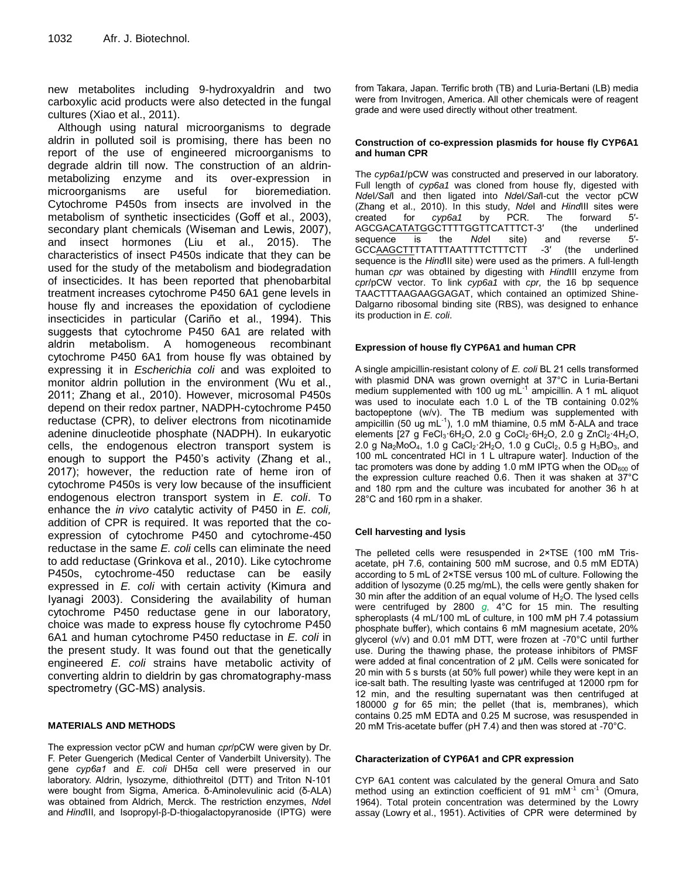new metabolites including 9-hydroxyaldrin and two carboxylic acid products were also detected in the fungal cultures (Xiao et al., 2011).

Although using natural microorganisms to degrade aldrin in polluted soil is promising, there has been no report of the use of engineered microorganisms to degrade aldrin till now. The construction of an aldrinmetabolizing enzyme and its over-expression in microorganisms are useful for bioremediation. Cytochrome P450s from insects are involved in the metabolism of synthetic insecticides (Goff et al., 2003), secondary plant chemicals (Wiseman and Lewis, 2007), and insect hormones (Liu et al., 2015). The characteristics of insect P450s indicate that they can be used for the study of the metabolism and biodegradation of insecticides. It has been reported that phenobarbital treatment increases cytochrome P450 6A1 gene levels in house fly and increases the epoxidation of cyclodiene insecticides in particular [\(Cariño](http://www.sciencedirect.com/science/article/pii/0965174894900345) et al., 1994). This suggests that cytochrome P450 6A1 are related with aldrin metabolism. A homogeneous recombinant cytochrome P450 6A1 from house fly was obtained by expressing it in *Escherichia coli* and was exploited to monitor aldrin pollution in the environment (Wu et al., 2011; Zhang et al., 2010). However, microsomal P450s depend on their redox partner, NADPH-cytochrome P450 reductase (CPR), to deliver electrons from nicotinamide adenine dinucleotide phosphate (NADPH). In eukaryotic cells, the endogenous electron transport system is enough to support the P450's activity (Zhang et al., 2017); however, the reduction rate of heme iron of cytochrome P450s is very low because of the insufficient endogenous electron transport system in *E. coli*. To enhance the *in vivo* catalytic activity of P450 in *E. coli,* addition of CPR is required. It was reported that the coexpression of cytochrome P450 and cytochrome-450 reductase in the same *E. coli* cells can eliminate the need to add reductase (Grinkova et al., 2010). Like cytochrome P450s, cytochrome-450 reductase can be easily expressed in *E. coli* with certain activity (Kimura and [Iyanagi](http://med.wanfangdata.com.cn/Paper/Search?q=%e4%bd%9c%e8%80%85%3a(Takashi%2c+Iyanagi)) 2003). Considering the availability of human cytochrome P450 reductase gene in our laboratory, choice was made to express house fly cytochrome P450 6A1 and human cytochrome P450 reductase in *E. coli* in the present study. It was found out that the genetically engineered *E. coli* strains have metabolic activity of converting aldrin to dieldrin by gas chromatography-mass spectrometry (GC-MS) analysis.

## **MATERIALS AND METHODS**

The expression vector pCW and human *cpr*/pCW were given by Dr. F. Peter Guengerich (Medical Center of Vanderbilt University). The gene *cyp6a1* and *E. coli* DH5α cell were preserved in our laboratory. Aldrin, lysozyme, dithiothreitol (DTT) and Triton N-101 were bought from Sigma, America. δ-Aminolevulinic acid (δ-ALA) was obtained from Aldrich, Merck. The restriction enzymes, *Nde*I and *Hind*III*,* and Isopropyl-β-D-thiogalactopyranoside (IPTG) were

from Takara, Japan. Terrific broth (TB) and Luria-Bertani (LB) media were from Invitrogen, America. All other chemicals were of reagent grade and were used directly without other treatment.

#### **Construction of co-expression plasmids for house fly CYP6A1 and human CPR**

The *cyp6a1*/pCW was constructed and preserved in our laboratory. Full length of *cyp6a1* was cloned from house fly, digested with *Nde*I*/Sal*I and then ligated into *Nde*I*/Sal*I-cut the vector pCW (Zhang et al., 2010). In this study, *Nde*I and *Hind*III sites were created for *cyp6a1* by PCR. The forward 5′- AGCGACATATGGCTTTTGGTTCATTTCT-3′ (the underlined sequence is the *Nde*I site) and reverse 5′- GCCAAGCTTTTATTTAATTTTCTTTCTT -3′ (the underlined sequence is the *Hind*III site) were used as the primers. A full-length human *cpr* was obtained by digesting with *Hind*III enzyme from *cpr*/pCW vector. To link *cyp6a1* with *cpr,* the 16 bp sequence TAACTTTAAGAAGGAGAT, which contained an optimized Shine-Dalgarno ribosomal binding site (RBS), was designed to enhance its production in *E. coli*.

#### **Expression of house fly CYP6A1 and human CPR**

A single ampicillin-resistant colony of *E. coli* BL 21 cells transformed with plasmid DNA was grown overnight at 37°C in Luria-Bertani medium supplemented with 100 ug mL $^{-1}$  ampicillin. A 1 mL aliquot was used to inoculate each 1.0 L of the TB containing 0.02% bactopeptone (w/v). The TB medium was supplemented with ampicillin (50 ug mL $^{-1}$ ), 1.0 mM thiamine, 0.5 mM δ-ALA and trace elements  $[27 \text{ g } \text{FeCl}_3 \cdot 6\text{H}_2\text{O}, 2.0 \text{ g } \text{CoCl}_2 \cdot 6\text{H}_2\text{O}, 2.0 \text{ g } \text{ZnCl}_2 \cdot 4\text{H}_2\text{O},$ 2.0 g Na<sub>2</sub>MoO<sub>4</sub>, 1.0 g CaCl<sub>2</sub>·2H<sub>2</sub>O, 1.0 g CuCl<sub>2</sub>, 0.5 g H<sub>3</sub>BO<sub>3</sub>, and 100 mL concentrated HCl in 1 L ultrapure water]. Induction of the tac promoters was done by adding 1.0 mM IPTG when the  $OD<sub>600</sub>$  of the expression culture reached 0.6. Then it was shaken at 37°C and 180 rpm and the culture was incubated for another 36 h at 28°C and 160 rpm in a shaker.

## **Cell harvesting and lysis**

The pelleted cells were resuspended in 2×TSE (100 mM Trisacetate, pH 7.6, containing 500 mM sucrose, and 0.5 mM EDTA) according to 5 mL of 2×TSE versus 100 mL of culture. Following the addition of lysozyme (0.25 mg/mL), the cells were gently shaken for 30 min after the addition of an equal volume of  $H_2O$ . The lysed cells were centrifuged by 2800 *g*, 4°C for 15 min. The resulting spheroplasts (4 mL/100 mL of culture, in 100 mM pH 7.4 potassium phosphate buffer), which contains 6 mM magnesium acetate, 20% glycerol (v/v) and 0.01 mM DTT, were frozen at -70°C until further use. During the thawing phase, the protease inhibitors of PMSF were added at final concentration of 2 μΜ. Cells were sonicated for 20 min with 5 s bursts (at 50% full power) while they were kept in an ice-salt bath. The resulting lyaste was centrifuged at 12000 rpm for 12 min, and the resulting supernatant was then centrifuged at 180000 *g* for 65 min; the pellet (that is, membranes), which contains 0.25 mM EDTA and 0.25 M sucrose, was resuspended in 20 mM Tris-acetate buffer (pH 7.4) and then was stored at -70°C.

#### **Characterization of CYP6A1 and CPR expression**

CYP 6A1 content was calculated by the general Omura and Sato method using an extinction coefficient of 91 mM $1$  cm $1$  (Omura, 1964). Total protein concentration was determined by the Lowry assay (Lowry et al., 1951). Activities of CPR were determined by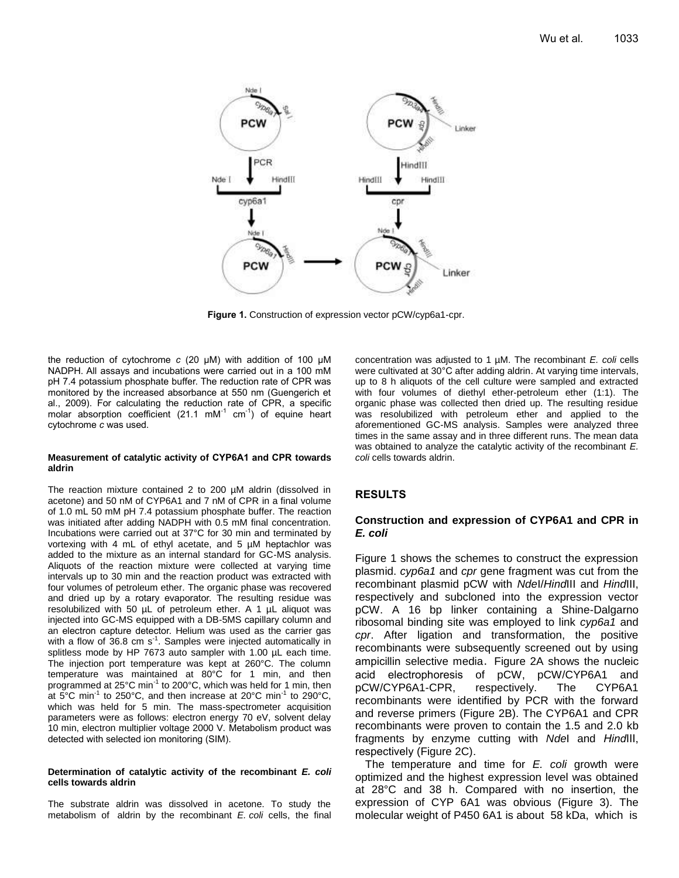

**Figure 1.** Construction of expression vector pCW/cyp6a1-cpr.

the reduction of cytochrome *c* (20 µM) with addition of 100 µM NADPH. All assays and incubations were carried out in a 100 mM pH 7.4 potassium phosphate buffer. The reduction rate of CPR was monitored by the increased absorbance at 550 nm (Guengerich et al., 2009). For calculating the reduction rate of CPR, a specific molar absorption coefficient (21.1 mM<sup>-1</sup> cm<sup>-1</sup>) of equine heart cytochrome *c* was used.

## **Measurement of catalytic activity of CYP6A1 and CPR towards aldrin**

The reaction mixture contained 2 to 200 µM aldrin (dissolved in acetone) and 50 nM of CYP6A1 and 7 nM of CPR in a final volume of 1.0 mL 50 mM pH 7.4 potassium phosphate buffer. The reaction was initiated after adding NADPH with 0.5 mM final concentration. Incubations were carried out at 37°C for 30 min and terminated by vortexing with 4 mL of ethyl acetate, and 5 µM heptachlor was added to the mixture as an internal standard for GC-MS analysis. Aliquots of the reaction mixture were collected at varying time intervals up to 30 min and the reaction product was extracted with four volumes of petroleum ether. The organic phase was recovered and dried up by a rotary evaporator. The resulting residue was resolubilized with 50 µL of petroleum ether. A 1 µL aliquot was injected into GC-MS equipped with a DB-5MS capillary column and an electron capture detector. Helium was used as the carrier gas with a flow of 36.8 cm  $s^{-1}$ . Samples were injected automatically in splitless mode by HP 7673 auto sampler with 1.00 µL each time. The injection port temperature was kept at 260°C. The column temperature was maintained at 80°C for 1 min, and then programmed at 25°C min<sup>-1</sup> to 200°C, which was held for 1 min, then at 5°C min<sup>-1</sup> to 250°C, and then increase at 20°C min<sup>-1</sup> to 290°C, which was held for 5 min. The mass-spectrometer acquisition parameters were as follows: electron energy 70 eV, solvent delay 10 min, electron multiplier voltage 2000 V. Metabolism product was detected with selected ion monitoring (SIM).

#### **Determination of catalytic activity of the recombinant** *E. coli* **cells towards aldrin**

The substrate aldrin was dissolved in acetone. To study the metabolism of aldrin by the recombinant *E. coli* cells, the final concentration was adjusted to 1 µM. The recombinant *E. coli* cells were cultivated at 30°C after adding aldrin. At varying time intervals, up to 8 h aliquots of the cell culture were sampled and extracted with four volumes of diethyl ether-petroleum ether (1:1). The organic phase was collected then dried up. The resulting residue was resolubilized with petroleum ether and applied to the aforementioned GC-MS analysis. Samples were analyzed three times in the same assay and in three different runs. The mean data was obtained to analyze the catalytic activity of the recombinant *E. coli* cells towards aldrin.

## **RESULTS**

## **Construction and expression of CYP6A1 and CPR in**  *E. coli*

Figure 1 shows the schemes to construct the expression plasmid. *cyp6a1* and *cpr* gene fragment was cut from the recombinant plasmid pCW with *Nde*I/*Hind*III and *Hind*III, respectively and subcloned into the expression vector pCW. A 16 bp linker containing a Shine-Dalgarno ribosomal binding site was employed to link *cyp6a1* and *cpr*. After ligation and transformation, the positive recombinants were subsequently screened out by using ampicillin selective media. Figure 2A shows the nucleic acid electrophoresis of pCW, pCW/CYP6A1 and pCW/CYP6A1-CPR, respectively. The CYP6A1 recombinants were identified by PCR with the forward and reverse primers (Figure 2B). The CYP6A1 and CPR recombinants were proven to contain the 1.5 and 2.0 kb fragments by enzyme cutting with *Nde*I and *Hind*III, respectively (Figure 2C).

The temperature and time for *E. coli* growth were optimized and the highest expression level was obtained at 28°C and 38 h. Compared with no insertion, the expression of CYP 6A1 was obvious (Figure 3). The molecular weight of P450 6A1 is about 58 kDa, which is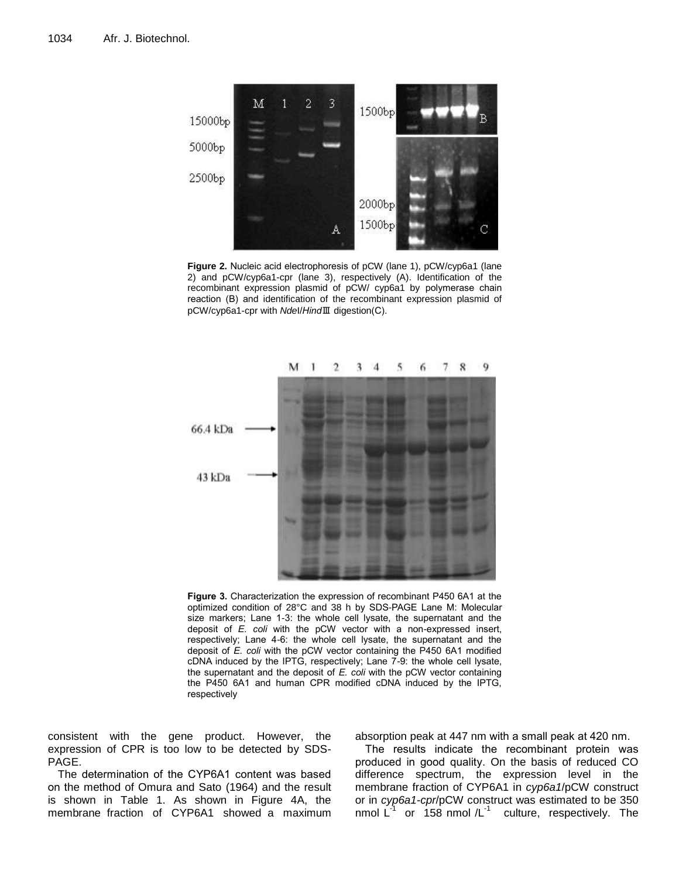

**Figure 2.** Nucleic acid electrophoresis of pCW (lane 1), pCW/cyp6a1 (lane 2) and pCW/cyp6a1-cpr (lane 3), respectively (A). Identification of the recombinant expression plasmid of pCW/ cyp6a1 by polymerase chain reaction (B) and identification of the recombinant expression plasmid of pCW/cyp6a1-cpr with *Nde*I/*Hind*Ⅲ digestion(C).



**Figure 3.** Characterization the expression of recombinant P450 6A1 at the optimized condition of 28°C and 38 h by SDS-PAGE Lane M: Molecular size markers; Lane 1-3: the whole cell lysate, the supernatant and the deposit of *E. coli* with the pCW vector with a non-expressed insert, respectively; Lane 4-6: the whole cell lysate, the supernatant and the deposit of *E. coli* with the pCW vector containing the P450 6A1 modified cDNA induced by the IPTG, respectively; Lane 7-9: the whole cell lysate, the supernatant and the deposit of *E. coli* with the pCW vector containing the P450 6A1 and human CPR modified cDNA induced by the IPTG, respectively

consistent with the gene product. However, the expression of CPR is too low to be detected by SDS-PAGE.

The determination of the CYP6A1 content was based on the method of Omura and Sato (1964) and the result is shown in Table 1. As shown in Figure 4A, the membrane fraction of CYP6A1 showed a maximum

absorption peak at 447 nm with a small peak at 420 nm.

The results indicate the recombinant protein was produced in good quality. On the basis of reduced CO difference spectrum, the expression level in the membrane fraction of CYP6A1 in *cyp6a1*/pCW construct or in *cyp6a1-cpr*/pCW construct was estimated to be 350 nmol  $L^{-1}$  or 158 nmol  $/L^{-1}$  culture, respectively. The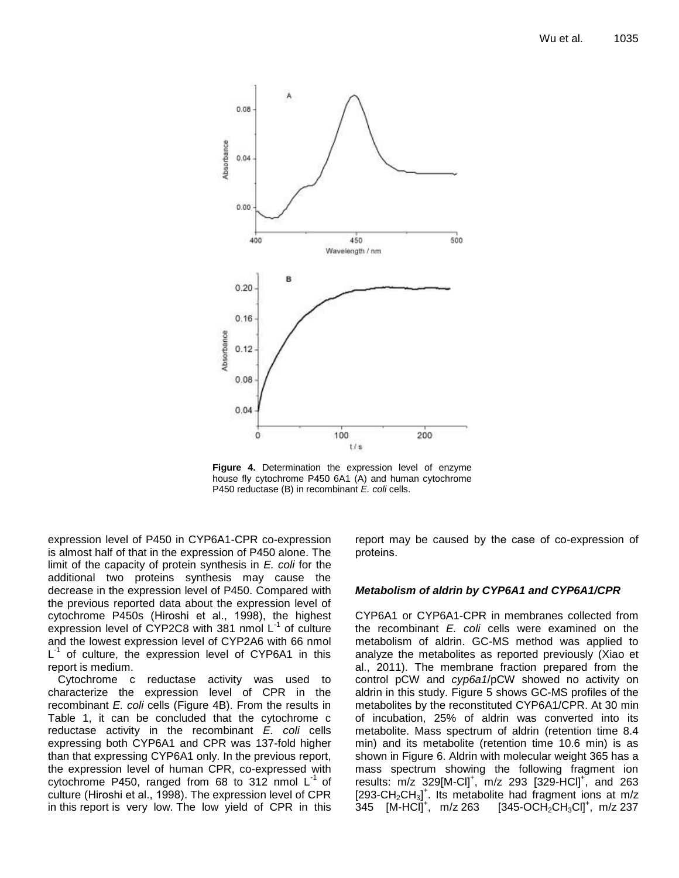

**Figure 4.** Determination the expression level of enzyme house fly cytochrome P450 6A1 (A) and human cytochrome P450 reductase (B) in recombinant *E. coli* cells.

expression level of P450 in CYP6A1-CPR co-expression is almost half of that in the expression of P450 alone. The limit of the capacity of protein synthesis in *E. coli* for the additional two proteins synthesis may cause the decrease in the expression level of P450. Compared with the previous reported data about the expression level of cytochrome P450s [\(Hiroshi](http://academic.research.microsoft.com/Author/4130188/hiroshi-iwata) et al., 1998), the highest expression level of CYP2C8 with 381 nmol  $L^{-1}$  of culture and the lowest expression level of CYP2A6 with 66 nmol L<sup>-1</sup> of culture, the expression level of CYP6A1 in this report is medium.

Cytochrome c reductase activity was used to characterize the expression level of CPR in the recombinant *E. coli* cells (Figure 4B). From the results in Table 1, it can be concluded that the cytochrome c reductase activity in the recombinant *E. coli* cells expressing both CYP6A1 and CPR was 137-fold higher than that expressing CYP6A1 only. In the previous report, the expression level of human CPR, co-expressed with cytochrome P450, ranged from 68 to 312 nmol  $L^{-1}$  of culture [\(Hiroshi](http://academic.research.microsoft.com/Author/4130188/hiroshi-iwata) et al., 1998). The expression level of CPR in this report is very low. The low yield of CPR in this

report may be caused by the case of co-expression of proteins.

# *Metabolism of aldrin by CYP6A1 and CYP6A1/CPR*

CYP6A1 or CYP6A1-CPR in membranes collected from the recombinant *E. coli* cells were examined on the metabolism of aldrin. GC-MS method was applied to analyze the metabolites as reported previously (Xiao et al., 2011). The membrane fraction prepared from the control pCW and *cyp6a1*/pCW showed no activity on aldrin in this study. Figure 5 shows GC-MS profiles of the metabolites by the reconstituted CYP6A1/CPR. At 30 min of incubation, 25% of aldrin was converted into its metabolite. Mass spectrum of aldrin (retention time 8.4 min) and its metabolite (retention time 10.6 min) is as shown in Figure 6. Aldrin with molecular weight 365 has a mass spectrum showing the following fragment ion results: m/z 329[M-CI]<sup>+</sup>, m/z 293 [329-HCI]<sup>+</sup>, and 263 [293-CH<sub>2</sub>CH<sub>3</sub>]<sup>+</sup>. Its metabolite had fragment ions at m/z  $345$  [M-HCI]<sup>+</sup>, m/z 263 , m/z 263 [345-OCH<sub>2</sub>CH<sub>3</sub>CI]<sup>+</sup>, m/z 237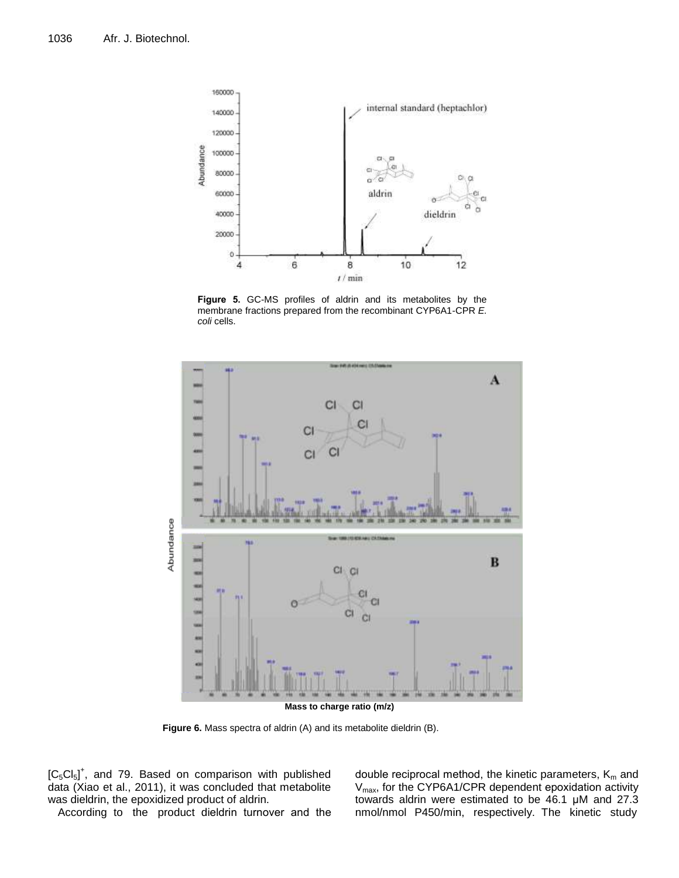

**Figure 5.** GC-MS profiles of aldrin and its metabolites by the membrane fractions prepared from the recombinant CYP6A1-CPR *E. coli* cells.



**Mass to charge ratio (m/z)** 

**Figure 6.** Mass spectra of aldrin (A) and its metabolite dieldrin (B).

 ${[\mathsf{C}_5\mathsf{Cl}_5]}^+$ , and 79. Based on comparison with published data (Xiao et al., 2011), it was concluded that metabolite was dieldrin, the epoxidized product of aldrin.

According to the product dieldrin turnover and the

double reciprocal method, the kinetic parameters,  $\mathsf{K}_{\mathsf{m}}$  and V<sub>max</sub>, for the CYP6A1/CPR dependent epoxidation activity towards aldrin were estimated to be 46.1 μM and 27.3 nmol/nmol P450/min, respectively. The kinetic study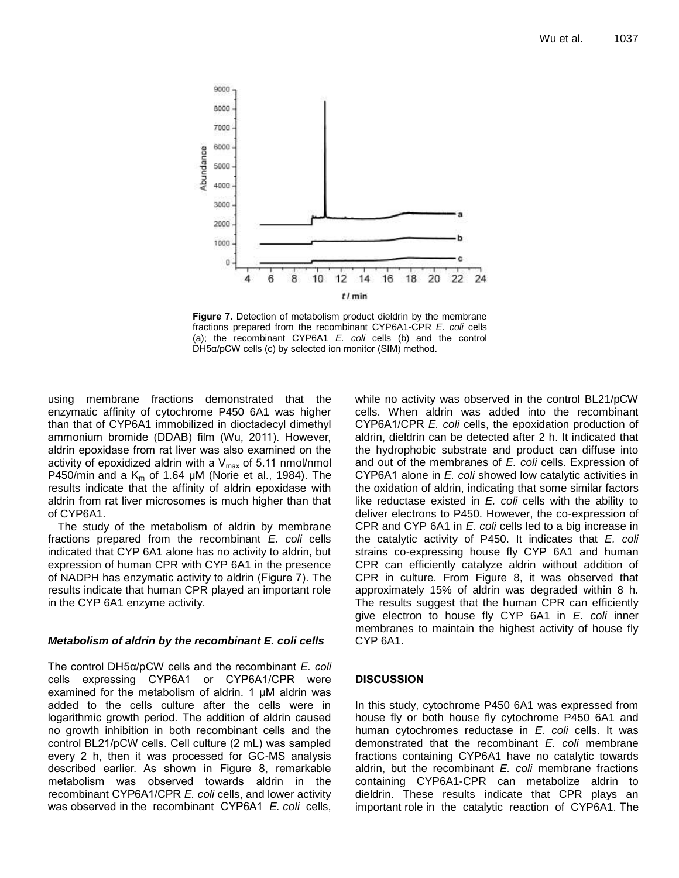

**Figure 7.** Detection of metabolism product dieldrin by the membrane fractions prepared from the recombinant CYP6A1-CPR *E. coli* cells (a); the recombinant CYP6A1 *E. coli* cells (b) and the control DH5α/pCW cells (c) by selected ion monitor (SIM) method.

using membrane fractions demonstrated that the enzymatic affinity of cytochrome P450 6A1 was higher than that of CYP6A1 immobilized in dioctadecyl dimethyl ammonium bromide (DDAB) film (Wu, 2011). However, aldrin epoxidase from rat liver was also examined on the activity of epoxidized aldrin with a  $V_{\text{max}}$  of 5.11 nmol/nmol P450/min and a K<sub>m</sub> of 1.64  $\mu$ M (Norie et al., 1984). The results indicate that the affinity of aldrin epoxidase with aldrin from rat liver microsomes is much higher than that of CYP6A1.

The study of the metabolism of aldrin by membrane fractions prepared from the recombinant *E. coli* cells indicated that CYP 6A1 alone has no activity to aldrin, but expression of human CPR with CYP 6A1 in the presence of NADPH has enzymatic activity to aldrin (Figure 7). The results indicate that human CPR played an important role in the CYP 6A1 enzyme activity.

## *Metabolism of aldrin by the recombinant E. coli cells*

The control DH5α/pCW cells and the recombinant *E. coli* cells expressing CYP6A1 or CYP6A1/CPR were examined for the metabolism of aldrin. 1 µM aldrin was added to the cells culture after the cells were in logarithmic growth period. The addition of aldrin caused no growth inhibition in both recombinant cells and the control BL21/pCW cells. Cell culture (2 mL) was sampled every 2 h, then it was processed for GC-MS analysis described earlier. As shown in Figure 8, remarkable metabolism was observed towards aldrin in the recombinant CYP6A1/CPR *E. coli* cells, and lower activity was observed in the recombinant CYP6A1 *E. coli* cells, while no activity was observed in the control BL21/pCW cells. When aldrin was added into the recombinant CYP6A1/CPR *E. coli* cells, the epoxidation production of aldrin, dieldrin can be detected after 2 h. It indicated that the hydrophobic substrate and product can diffuse into and out of the membranes of *E. coli* cells. Expression of CYP6A1 alone in *E. coli* showed low catalytic activities in the oxidation of aldrin, indicating that some similar factors like reductase existed in *E. coli* cells with the ability to deliver electrons to P450. However, the co-expression of CPR and CYP 6A1 in *E. coli* cells led to a big increase in the catalytic activity of P450. It indicates that *E. coli*  strains co-expressing house fly CYP 6A1 and human CPR can efficiently catalyze aldrin without addition of CPR in culture. From Figure 8, it was observed that approximately 15% of aldrin was degraded within 8 h. The results suggest that the human CPR can efficiently give electron to house fly CYP 6A1 in *E. coli* inner membranes to maintain the highest activity of house fly CYP 6A1.

## **DISCUSSION**

In this study, cytochrome P450 6A1 was expressed from house fly or both house fly cytochrome P450 6A1 and human cytochromes reductase in *E. coli* cells. It was demonstrated that the recombinant *E. coli* membrane fractions containing CYP6A1 have no catalytic towards aldrin, but the recombinant *E. coli* membrane fractions containing CYP6A1-CPR can metabolize aldrin to dieldrin. These results indicate that CPR plays an important role in the catalytic reaction of CYP6A1. The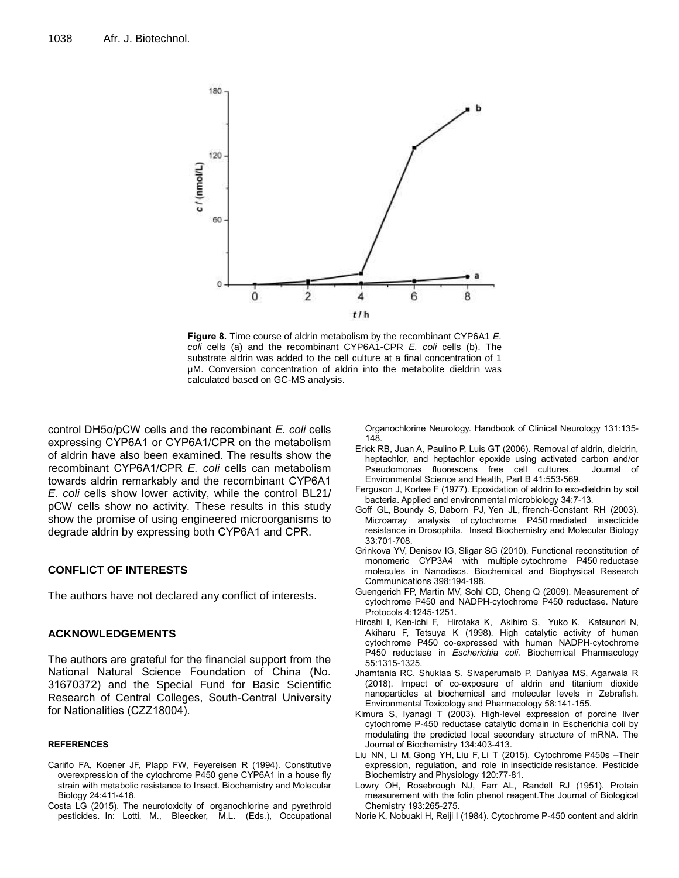

**Figure 8.** Time course of aldrin metabolism by the recombinant CYP6A1 *E. coli* cells (a) and the recombinant CYP6A1-CPR *E. coli* cells (b). The substrate aldrin was added to the cell culture at a final concentration of 1 μM. Conversion concentration of aldrin into the metabolite dieldrin was calculated based on GC-MS analysis.

control DH5α/pCW cells and the recombinant *E. coli* cells expressing CYP6A1 or CYP6A1/CPR on the metabolism of aldrin have also been examined. The results show the recombinant CYP6A1/CPR *E. coli* cells can metabolism towards aldrin remarkably and the recombinant CYP6A1 *E. coli* cells show lower activity, while the control BL21/ pCW cells show no activity. These results in this study show the promise of using engineered microorganisms to degrade aldrin by expressing both CYP6A1 and CPR.

# **CONFLICT OF INTERESTS**

The authors have not declared any conflict of interests.

## **ACKNOWLEDGEMENTS**

The authors are grateful for the financial support from the National Natural Science Foundation of China (No. 31670372) and the Special Fund for Basic Scientific Research of Central Colleges, [South-Central University](http://en.scuec.net/)  [for Nationalities](http://en.scuec.net/) (CZZ18004).

## **REFERENCES**

- [Cariño](http://www.sciencedirect.com/science/article/pii/0965174894900345) FA, [Koener](http://www.sciencedirect.com/science/article/pii/0965174894900345) JF, [Plapp FW, Feyereisen](http://www.sciencedirect.com/science/article/pii/0965174894900345) R (1994). Constitutive overexpression of the cytochrome P450 gene CYP6A1 in a house fly strain with metabolic resistance t[o Insect. Biochemistry and Molecular](https://www.sciencedirect.com/science/journal/09651748)  [Biology](https://www.sciencedirect.com/science/journal/09651748) 24:411-418.
- Costa LG (2015). The neurotoxicity of organochlorine and pyrethroid pesticides. In: Lotti, M., Bleecker, M.L. (Eds.), Occupational

Organochlorine Neurology. Handbook of Clinical Neurology 131:135- 148.

- Erick RB, Juan A, Paulino P, Luis GT (2006). Removal of aldrin, dieldrin, heptachlor, and heptachlor epoxide using activated carbon and/or Pseudomonas fluorescens free cell cultures. [Journal of](https://www.tandfonline.com/toc/lesb20/current)  [Environmental Science and Health, Part B](https://www.tandfonline.com/toc/lesb20/current) 41:553-569.
- Ferguson J, Kortee F (1977). Epoxidation of aldrin to exo-dieldrin by soil bacteria. Applied and environmental microbiology 34:7-13.
- Goff GL, Boundy S, Daborn PJ, Yen JL, ffrench-Constant RH (2003). [Microarray analysis of](https://www.sciencedirect.com/science/article/pii/S096517480300064X) cytochrome P450 mediated insecticide [resistance in](https://www.sciencedirect.com/science/article/pii/S096517480300064X) Drosophila. [Insect Biochemistry and Molecular Biology](https://www.sciencedirect.com/science/journal/09651748) 33:701-708.
- Grinkova YV, Denisov IG, Sligar SG (2010). Functional reconstitution of monomeric CYP3A4 with multiple cytochrome P450 reductase molecules in Nanodiscs. [Biochemical and Biophysical Research](https://www.sciencedirect.com/science/journal/0006291X)  [Communications](https://www.sciencedirect.com/science/journal/0006291X) 398:194-198.
- Guengerich FP, Martin MV, Sohl CD, Cheng Q (2009). Measurement of cytochrome P450 and NADPH-cytochrome P450 reductase. Nature Protocols 4:1245-1251.
- [Hiroshi](http://academic.research.microsoft.com/Author/4130188/hiroshi-iwata) I, [Ken-ichi F,](http://academic.research.microsoft.com/Author/43282662/ken-ichi-fujita) [Hirotaka K,](http://academic.research.microsoft.com/Author/18786158/hirotaka-kushida) [Akihiro S,](http://academic.research.microsoft.com/Author/23567713/akihiro-suzuki) [Yuko K,](http://academic.research.microsoft.com/Author/28875271/yuko-konno) [Katsunori N,](http://academic.research.microsoft.com/Author/53820541/katsunori-nakamura)  [Akiharu F, Tetsuya K](http://academic.research.microsoft.com/Author/56384433/akiharu-fujino) (1998). High catalytic activity of human cytochrome P450 co-expressed with human NADPH-cytochrome P450 reductase in *Escherichia coli.* [Biochemical Pharmacology](https://www.sciencedirect.com/science/journal/00062952) 55:1315-1325.
- Jhamtania RC, Shuklaa S, Sivaperumalb P, Dahiyaa MS, Agarwala R (2018). Impact of co-exposure of aldrin and titanium dioxide nanoparticles at biochemical and molecular levels in Zebrafish. Environmental Toxicology and Pharmacology 58:141-155.
- [Kimura](http://med.wanfangdata.com.cn/Paper/Search?q=%e4%bd%9c%e8%80%85%3a(Shigenobu%2c+Kimura)) S, [Iyanagi](http://med.wanfangdata.com.cn/Paper/Search?q=%e4%bd%9c%e8%80%85%3a(Takashi%2c+Iyanagi)) T [\(2003\).](http://med.wanfangdata.com.cn/Periodical/Issue?id=0376600&year=2003&issue=134-3) High-level expression of porcine liver cytochrome P-450 reductase catalytic domain in Escherichia coli by modulating the predicted local secondary structure of mRNA. The Journal of Biochemistry 134:403-413.
- Liu NN, Li M, Gong YH, Liu F, Li T (2015). Cytochrome P450s –Their expression, regulation, and role in insecticide resistance. [Pesticide](https://www.sciencedirect.com/science/journal/00483575)  [Biochemistry and Physiology](https://www.sciencedirect.com/science/journal/00483575) 120:77-81.
- Lowry OH, Rosebrough NJ, Farr AL, Randell RJ (1951). Protein measurement with the folin phenol reagent.The Journal of Biological Chemistry 193:265-275.
- Norie K, Nobuaki H, Reiji I (1984). Cytochrome P-450 content and aldrin